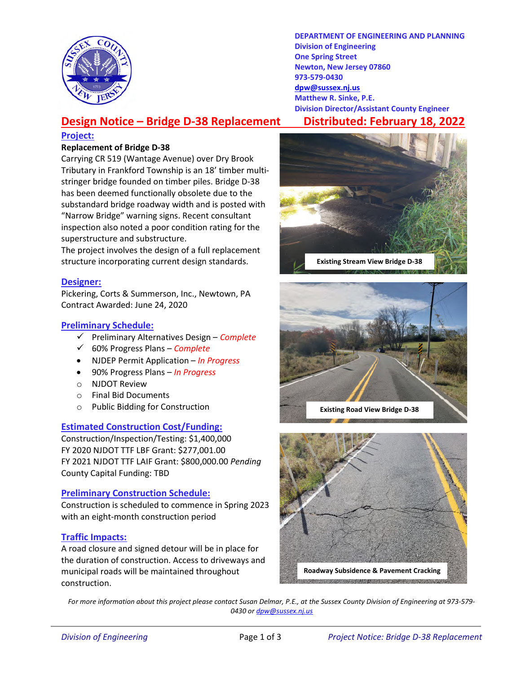

DEPARTMENT OF ENGINEERING AND PLANNING Division of Engineering One Spring Street Newton, New Jersey 07860 973-579-0430 dpw@sussex.nj.us Matthew R. Sinke, P.E. Division Director/Assistant County Engineer

# Design Notice – Bridge D-38 Replacement Distributed: February 18, 2022

#### Project:

#### Replacement of Bridge D-38

Carrying CR 519 (Wantage Avenue) over Dry Brook Tributary in Frankford Township is an 18' timber multistringer bridge founded on timber piles. Bridge D-38 has been deemed functionally obsolete due to the substandard bridge roadway width and is posted with "Narrow Bridge" warning signs. Recent consultant inspection also noted a poor condition rating for the superstructure and substructure.

The project involves the design of a full replacement structure incorporating current design standards.

#### Designer:

Pickering, Corts & Summerson, Inc., Newtown, PA Contract Awarded: June 24, 2020

## Preliminary Schedule:

- $\checkmark$  Preliminary Alternatives Design Complete
- $60%$  Progress Plans Complete
- NJDEP Permit Application In Progress
- 90% Progress Plans In Progress
- o NJDOT Review
- o Final Bid Documents
- o Public Bidding for Construction

## Estimated Construction Cost/Funding:

Construction/Inspection/Testing: \$1,400,000 FY 2020 NJDOT TTF LBF Grant: \$277,001.00 FY 2021 NJDOT TTF LAIF Grant: \$800,000.00 Pending County Capital Funding: TBD

## Preliminary Construction Schedule:

Construction is scheduled to commence in Spring 2023 with an eight-month construction period

## Traffic Impacts:

A road closure and signed detour will be in place for the duration of construction. Access to driveways and municipal roads will be maintained throughout construction.







For more information about this project please contact Susan Delmar, P.E., at the Sussex County Division of Engineering at 973-579- 0430 or dpw@sussex.nj.us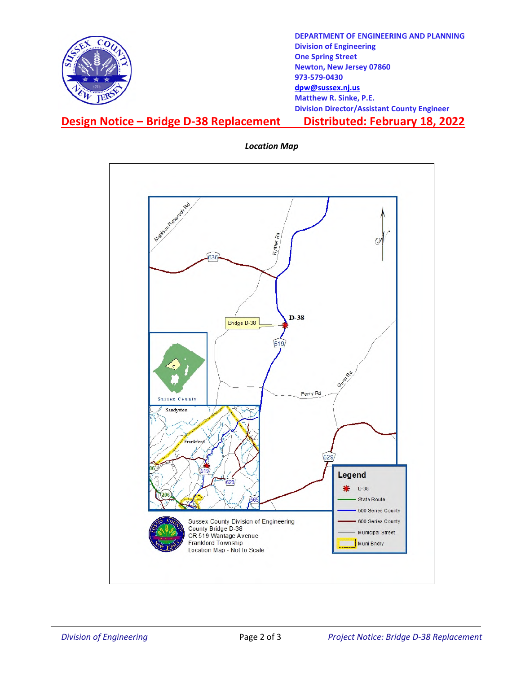

DEPARTMENT OF ENGINEERING AND PLANNING Division of Engineering One Spring Street Newton, New Jersey 07860 973-579-0430 dpw@sussex.nj.us Matthew R. Sinke, P.E. Division Director/Assistant County Engineer

## Design Notice – Bridge D-38 Replacement Distributed: February 18, 2022



Location Map